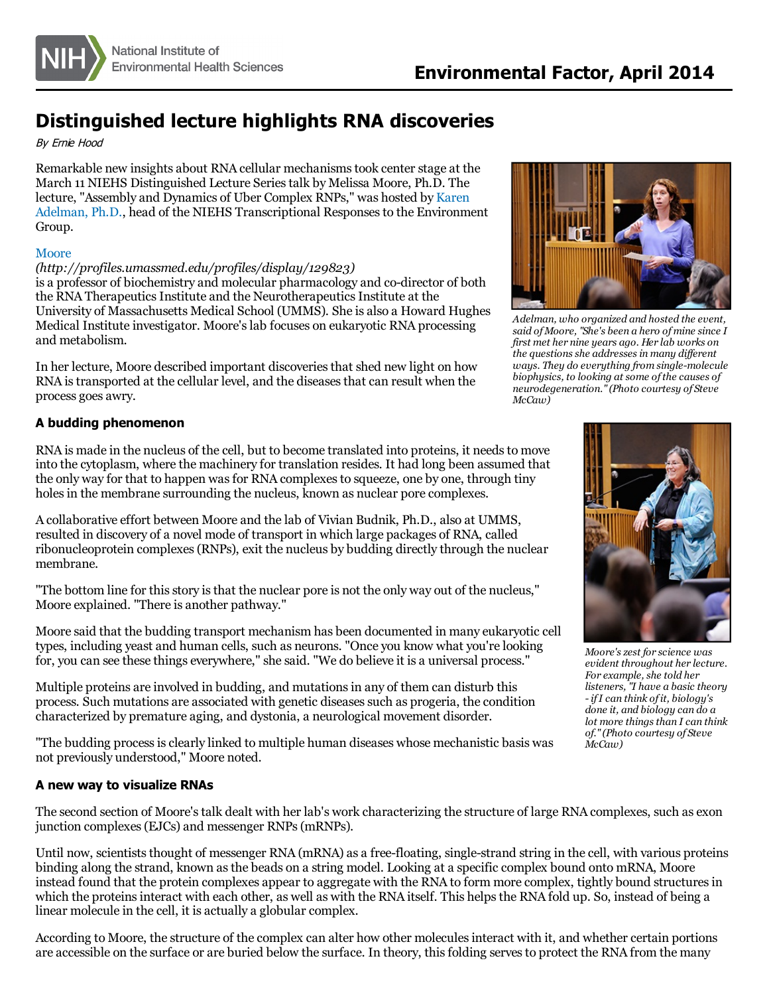

# **Distinguished lecture highlights RNA discoveries**

#### By Ernie Hood

Remarkable new insights about RNA cellular mechanismstook center stage at the March 11 NIEHS Distinguished Lecture Seriestalk by Melissa Moore, Ph.D. The lecture, "Assembly and Dynamics of Uber Complex RNPs," was hosted by Karen Adelman, Ph.D., head of the NIEHS [Transcriptional](http://www.niehs.nih.gov/research/atniehs/labs/lmc/tre/index.cfm) Responsesto the Environment Group.

#### **[Moore](http://profiles.umassmed.edu/profiles/display/129823)**

#### *(http://profiles.umassmed.edu/profiles/display/129823)*

is a professor of biochemistry and molecular pharmacology and co-director of both the RNA Therapeutics Institute and the Neurotherapeutics Institute at the University of Massachusetts Medical School (UMMS). She is also a Howard Hughes Medical Institute investigator. Moore'slab focuses on eukaryotic RNA processing and metabolism.

In her lecture, Moore described important discoveriesthat shed new light on how RNA is transported at the cellular level, and the diseases that can result when the process goes awry.

## **A budding phenomenon**

RNA is made in the nucleus of the cell, but to become translated into proteins, it needs to move into the cytoplasm, where the machinery for translation resides. It had long been assumed that the only way for that to happen wasfor RNA complexesto squeeze, one by one, through tiny holes in the membrane surrounding the nucleus, known as nuclear pore complexes.

A collaborative effort between Moore and the lab of Vivian Budnik, Ph.D., also at UMMS, resulted in discovery of a novel mode of transport in which large packages of RNA, called ribonucleoprotein complexes(RNPs), exit the nucleus by budding directly through the nuclear membrane.

"The bottom line for this story is that the nuclear pore is not the only way out of the nucleus," Moore explained. "There is another pathway."

Moore said that the budding transport mechanism has been documented in many eukaryotic cell types, including yeast and human cells, such as neurons. "Once you know what you're looking for, you can see these things everywhere," she said. "We do believe it is a universal process."

Multiple proteins are involved in budding, and mutationsin any of them can disturb this process. Such mutations are associated with genetic diseasessuch as progeria, the condition characterized by premature aging, and dystonia, a neurological movement disorder.

"The budding process is clearly linked to multiple human diseases whose mechanistic basis was not previously understood," Moore noted.

### **A new way to visualize RNAs**

The second section of Moore'stalk dealt with her lab's work characterizing the structure of large RNA complexes, such as exon junction complexes(EJCs) and messenger RNPs(mRNPs).

Until now, scientists thought of messenger RNA (mRNA) as a free-floating, single-strand string in the cell, with various proteins binding along the strand, known asthe beads on a string model. Looking at a specific complex bound onto mRNA, Moore instead found that the protein complexes appear to aggregate with the RNA to form more complex, tightly bound structuresin which the proteins interact with each other, as well as with the RNA itself. This helps the RNA fold up. So, instead of being a linear molecule in the cell, it is actually a globular complex.

According to Moore, the structure of the complex can alter how other molecules interact with it, and whether certain portions are accessible on the surface or are buried below the surface. In theory, thisfolding servesto protect the RNA from the many



*Adelman, who organized and hosted the event, said of Moore, "She's been a hero ofmine since I first met her nine years ago. Her lab works on the questionsshe addressesin many dif erent ways. They do everything from single-molecule biophysics, to looking at some ofthe causes of neurodegeneration."(Photo courtesy of Steve McCaw)*



*Moore'szest for science was evident throughout her lecture. For example, she told her listeners, "I have a basic theory - ifI can think of it, biology's done it, and biology can do a lot more thingsthan I can think of."(Photo courtesy of Steve McCaw)*